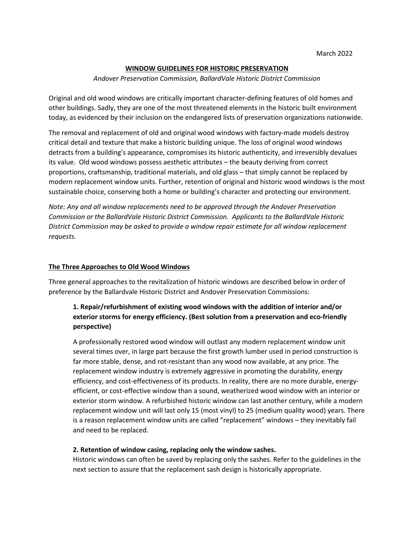### **WINDOW GUIDELINES FOR HISTORIC PRESERVATION**

#### *Andover Preservation Commission, BallardVale Historic District Commission*

Original and old wood windows are critically important character-defining features of old homes and other buildings. Sadly, they are one of the most threatened elements in the historic built environment today, as evidenced by their inclusion on the endangered lists of preservation organizations nationwide.

The removal and replacement of old and original wood windows with factory-made models destroy critical detail and texture that make a historic building unique. The loss of original wood windows detracts from a building's appearance, compromises its historic authenticity, and irreversibly devalues its value. Old wood windows possess aesthetic attributes – the beauty deriving from correct proportions, craftsmanship, traditional materials, and old glass – that simply cannot be replaced by modern replacement window units. Further, retention of original and historic wood windows is the most sustainable choice, conserving both a home or building's character and protecting our environment.

*Note: Any and all window replacements need to be approved through the Andover Preservation Commission or the BallardVale Historic District Commission. Applicants to the BallardVale Historic District Commission may be asked to provide a window repair estimate for all window replacement requests.* 

### **The Three Approaches to Old Wood Windows**

Three general approaches to the revitalization of historic windows are described below in order of preference by the Ballardvale Historic District and Andover Preservation Commissions:

# **1. Repair/refurbishment of existing wood windows with the addition of interior and/or exterior storms for energy efficiency. (Best solution from a preservation and eco-friendly perspective)**

A professionally restored wood window will outlast any modern replacement window unit several times over, in large part because the first growth lumber used in period construction is far more stable, dense, and rot-resistant than any wood now available, at any price. The replacement window industry is extremely aggressive in promoting the durability, energy efficiency, and cost-effectiveness of its products. In reality, there are no more durable, energyefficient, or cost-effective window than a sound, weatherized wood window with an interior or exterior storm window. A refurbished historic window can last another century, while a modern replacement window unit will last only 15 (most vinyl) to 25 (medium quality wood) years. There is a reason replacement window units are called "replacement" windows – they inevitably fail and need to be replaced.

#### **2. Retention of window casing, replacing only the window sashes.**

Historic windows can often be saved by replacing only the sashes. Refer to the guidelines in the next section to assure that the replacement sash design is historically appropriate.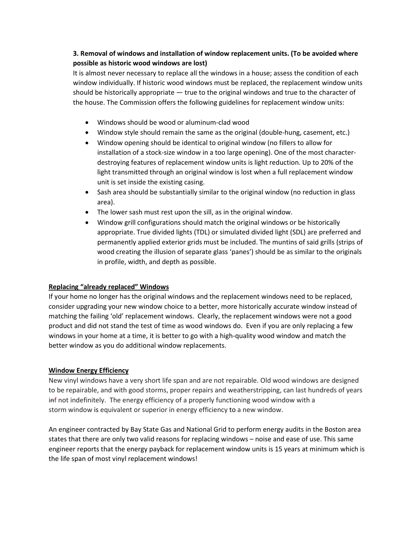# **3. Removal of windows and installation of window replacement units. (To be avoided where possible as historic wood windows are lost)**

It is almost never necessary to replace all the windows in a house; assess the condition of each window individually. If historic wood windows must be replaced, the replacement window units should be historically appropriate — true to the original windows and true to the character of the house. The Commission offers the following guidelines for replacement window units:

- Windows should be wood or aluminum-clad wood
- Window style should remain the same as the original (double-hung, casement, etc.)
- Window opening should be identical to original window (no fillers to allow for installation of a stock-size window in a too large opening). One of the most characterdestroying features of replacement window units is light reduction. Up to 20% of the light transmitted through an original window is lost when a full replacement window unit is set inside the existing casing.
- Sash area should be substantially similar to the original window (no reduction in glass area).
- The lower sash must rest upon the sill, as in the original window.
- Window grill configurations should match the original windows or be historically appropriate. True divided lights (TDL) or simulated divided light (SDL) are preferred and permanently applied exterior grids must be included. The muntins of said grills (strips of wood creating the illusion of separate glass 'panes') should be as similar to the originals in profile, width, and depth as possible.

## **Replacing "already replaced" Windows**

If your home no longer has the original windows and the replacement windows need to be replaced, consider upgrading your new window choice to a better, more historically accurate window instead of matching the failing 'old' replacement windows. Clearly, the replacement windows were not a good product and did not stand the test of time as wood windows do. Even if you are only replacing a few windows in your home at a time, it is better to go with a high-quality wood window and match the better window as you do additional window replacements.

### **Window Energy Efficiency**

New vinyl windows have a very short life span and are not repairable. Old wood windows are designed to be repairable, and with good storms, proper repairs and weatherstripping, can last hundreds of years inf not indefinitely. The energy efficiency of a properly functioning wood window with a storm window is equivalent or superior in energy efficiency to a new window.

An engineer contracted by Bay State Gas and National Grid to perform energy audits in the Boston area states that there are only two valid reasons for replacing windows – noise and ease of use. This same engineer reports that the energy payback for replacement window units is 15 years at minimum which is the life span of most vinyl replacement windows!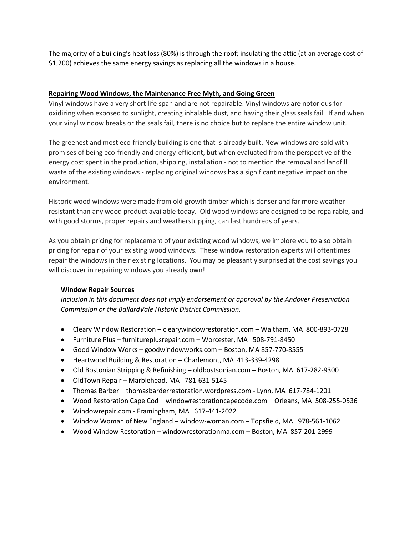The majority of a building's heat loss (80%) is through the roof; insulating the attic (at an average cost of \$1,200) achieves the same energy savings as replacing all the windows in a house.

### **Repairing Wood Windows, the Maintenance Free Myth, and Going Green**

Vinyl windows have a very short life span and are not repairable. Vinyl windows are notorious for oxidizing when exposed to sunlight, creating inhalable dust, and having their glass seals fail. If and when your vinyl window breaks or the seals fail, there is no choice but to replace the entire window unit.

The greenest and most eco-friendly building is one that is already built. New windows are sold with promises of being eco-friendly and energy-efficient, but when evaluated from the perspective of the energy cost spent in the production, shipping, installation - not to mention the removal and landfill waste of the existing windows - replacing original windows has a significant negative impact on the environment.

Historic wood windows were made from old-growth timber which is denser and far more weatherresistant than any wood product available today. Old wood windows are designed to be repairable, and with good storms, proper repairs and weatherstripping, can last hundreds of years.

As you obtain pricing for replacement of your existing wood windows, we implore you to also obtain pricing for repair of your existing wood windows. These window restoration experts will oftentimes repair the windows in their existing locations. You may be pleasantly surprised at the cost savings you will discover in repairing windows you already own!

### **Window Repair Sources**

*Inclusion in this document does not imply endorsement or approval by the Andover Preservation Commission or the BallardVale Historic District Commission.* 

- Cleary Window Restoration clearywindowrestoration.com Waltham, MA 800-893-0728
- Furniture Plus furnitureplusrepair.com Worcester, MA 508-791-8450
- Good Window Works goodwindowworks.com Boston, MA 857-770-8555
- Heartwood Building & Restoration Charlemont, MA 413-339-4298
- Old Bostonian Stripping & Refinishing oldbostsonian.com Boston, MA 617-282-9300
- OldTown Repair Marblehead, MA 781-631-5145
- Thomas Barber thomasbarderrestoration.wordpress.com Lynn, MA 617-784-1201
- Wood Restoration Cape Cod windowrestorationcapecode.com Orleans, MA 508-255-0536
- Windowrepair.com Framingham, MA 617-441-2022
- Window Woman of New England window-woman.com Topsfield, MA 978-561-1062
- Wood Window Restoration windowrestorationma.com Boston, MA 857-201-2999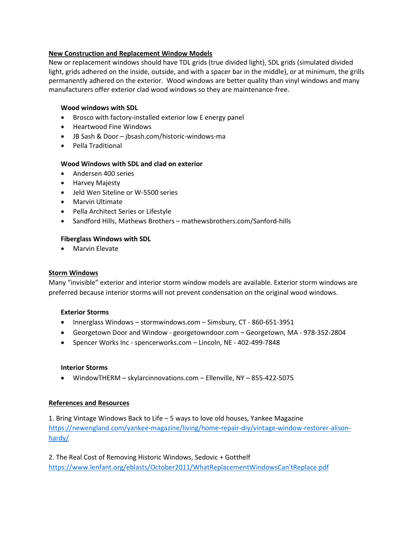### **New Construction and Replacement Window Models**

New or replacement windows should have TDL grids (true divided light), SDL grids (simulated divided light, grids adhered on the inside, outside, and with a spacer bar in the middle), or at minimum, the grills permanently adhered on the exterior. Wood windows are better quality than vinyl windows and many manufacturers offer exterior clad wood windows so they are maintenance-free.

### **Wood windows with SDL**

- Brosco with factory-installed exterior low E energy panel
- Heartwood Fine Windows
- JB Sash & Door jbsash.com/historic-windows-ma
- Pella Traditional

### **Wood Windows with SDL and clad on exterior**

- Andersen 400 series
- Harvey Majesty
- Jeld Wen Siteline or W-5500 series
- Marvin Ultimate
- Pella Architect Series or Lifestyle
- Sandford Hills, Mathews Brothers mathewsbrothers.com/Sanford-hills

#### **Fiberglass Windows with SDL**

• Marvin Elevate

#### **Storm Windows**

Many "invisible" exterior and interior storm window models are available. Exterior storm windows are preferred because interior storms will not prevent condensation on the original wood windows.

#### **Exterior Storms**

- Innerglass Windows stormwindows.com Simsbury, CT 860-651-3951
- Georgetown Door and Window georgetowndoor.com Georgetown, MA 978-352-2804
- Spencer Works Inc spencerworks.com Lincoln, NE 402-499-7848

#### **Interior Storms**

• WindowTHERM – skylarcinnovations.com – Ellenville, NY – 855-422-5075

### **References and Resources**

1. Bring Vintage Windows Back to Life – 5 ways to love old houses, Yankee Magazine [https://newengland.com/yankee-magazine/living/home-repair-diy/vintage-window-restorer-alison](https://newengland.com/yankee-magazine/living/home-repair-diy/vintage-window-restorer-alison-hardy/)[hardy/](https://newengland.com/yankee-magazine/living/home-repair-diy/vintage-window-restorer-alison-hardy/)

2. The Real Cost of Removing Historic Windows, Sedovic + Gotthelf [https://www.lenfant.org/eblasts/October2011/WhatReplacementWindowsCan'tReplace.pdf](https://www.lenfant.org/eblasts/October2011/WhatReplacementWindowsCan)